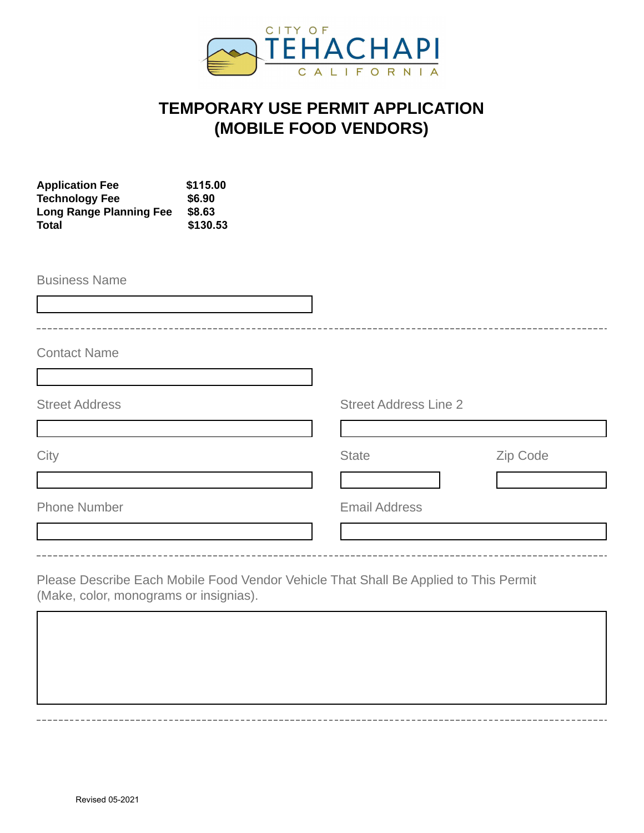

## **TEMPORARY USE PERMIT APPLICATION (MOBILE FOOD VENDORS)**

| <b>Application Fee</b><br><b>Technology Fee</b><br><b>Long Range Planning Fee</b><br><b>Total</b> | \$115.00<br>\$6.90<br>\$8.63<br>\$130.53 |                                                                                      |          |
|---------------------------------------------------------------------------------------------------|------------------------------------------|--------------------------------------------------------------------------------------|----------|
| <b>Business Name</b>                                                                              |                                          |                                                                                      |          |
| <b>Contact Name</b>                                                                               |                                          |                                                                                      |          |
| <b>Street Address</b>                                                                             |                                          | <b>Street Address Line 2</b>                                                         |          |
| City                                                                                              |                                          | <b>State</b><br>$\left  \cdot \right $                                               | Zip Code |
| <b>Phone Number</b>                                                                               |                                          | <b>Email Address</b>                                                                 |          |
| (Make, color, monograms or insignias).                                                            |                                          | Please Describe Each Mobile Food Vendor Vehicle That Shall Be Applied to This Permit |          |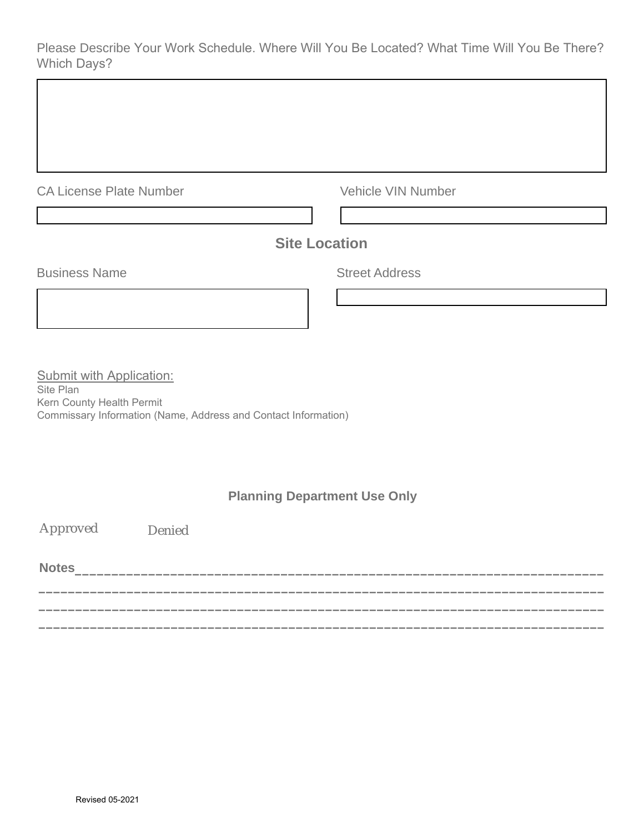Please Describe Your Work Schedule. Where Will You Be Located? What Time Will You Be There? Which Days?

|  | <b>CA License Plate Number</b> |
|--|--------------------------------|
|  |                                |

Vehicle VIN Number

## **Site Location**

**Business Name** Street Address

Submit with Application: Site Plan Kern County Health Permit

Commissary Information (Name, Address and Contact Information)

## **Planning Department Use Only**

**\_\_\_\_\_\_\_\_\_\_\_\_\_\_\_\_\_\_\_\_\_\_\_\_\_\_\_\_\_\_\_\_\_\_\_\_\_\_\_\_\_\_\_\_\_\_\_\_\_\_\_\_\_\_\_\_\_\_\_\_\_\_\_\_\_\_\_\_\_\_\_\_\_\_\_\_\_ \_\_\_\_\_\_\_\_\_\_\_\_\_\_\_\_\_\_\_\_\_\_\_\_\_\_\_\_\_\_\_\_\_\_\_\_\_\_\_\_\_\_\_\_\_\_\_\_\_\_\_\_\_\_\_\_\_\_\_\_\_\_\_\_\_\_\_\_\_\_\_\_\_\_\_\_\_ \_\_\_\_\_\_\_\_\_\_\_\_\_\_\_\_\_\_\_\_\_\_\_\_\_\_\_\_\_\_\_\_\_\_\_\_\_\_\_\_\_\_\_\_\_\_\_\_\_\_\_\_\_\_\_\_\_\_\_\_\_\_\_\_\_\_\_\_\_\_\_\_\_\_\_\_\_**

Approved Denied

**Notes\_\_\_\_\_\_\_\_\_\_\_\_\_\_\_\_\_\_\_\_\_\_\_\_\_\_\_\_\_\_\_\_\_\_\_\_\_\_\_\_\_\_\_\_\_\_\_\_\_\_\_\_\_\_\_\_\_\_\_\_\_\_\_\_\_\_\_\_\_\_\_\_**